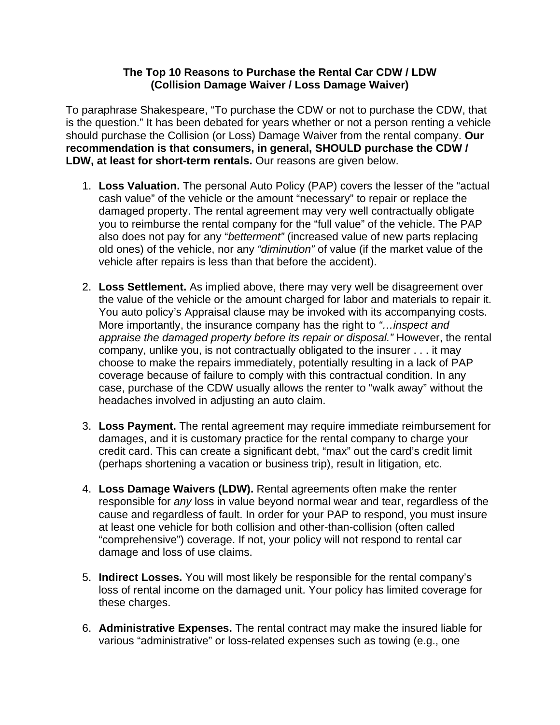## **The Top 10 Reasons to Purchase the Rental Car CDW / LDW (Collision Damage Waiver / Loss Damage Waiver)**

To paraphrase Shakespeare, "To purchase the CDW or not to purchase the CDW, that is the question." It has been debated for years whether or not a person renting a vehicle should purchase the Collision (or Loss) Damage Waiver from the rental company. **Our recommendation is that consumers, in general, SHOULD purchase the CDW / LDW, at least for short-term rentals.** Our reasons are given below.

- 1. **Loss Valuation.** The personal Auto Policy (PAP) covers the lesser of the "actual cash value" of the vehicle or the amount "necessary" to repair or replace the damaged property. The rental agreement may very well contractually obligate you to reimburse the rental company for the "full value" of the vehicle. The PAP also does not pay for any "*betterment"* (increased value of new parts replacing old ones) of the vehicle, nor any *"diminution"* of value (if the market value of the vehicle after repairs is less than that before the accident).
- 2. **Loss Settlement.** As implied above, there may very well be disagreement over the value of the vehicle or the amount charged for labor and materials to repair it. You auto policy's Appraisal clause may be invoked with its accompanying costs. More importantly, the insurance company has the right to *"…inspect and appraise the damaged property before its repair or disposal."* However, the rental company, unlike you, is not contractually obligated to the insurer . . . it may choose to make the repairs immediately, potentially resulting in a lack of PAP coverage because of failure to comply with this contractual condition. In any case, purchase of the CDW usually allows the renter to "walk away" without the headaches involved in adjusting an auto claim.
- 3. **Loss Payment.** The rental agreement may require immediate reimbursement for damages, and it is customary practice for the rental company to charge your credit card. This can create a significant debt, "max" out the card's credit limit (perhaps shortening a vacation or business trip), result in litigation, etc.
- 4. **Loss Damage Waivers (LDW).** Rental agreements often make the renter responsible for *any* loss in value beyond normal wear and tear, regardless of the cause and regardless of fault. In order for your PAP to respond, you must insure at least one vehicle for both collision and other-than-collision (often called "comprehensive") coverage. If not, your policy will not respond to rental car damage and loss of use claims.
- 5. **Indirect Losses.** You will most likely be responsible for the rental company's loss of rental income on the damaged unit. Your policy has limited coverage for these charges.
- 6. **Administrative Expenses.** The rental contract may make the insured liable for various "administrative" or loss-related expenses such as towing (e.g., one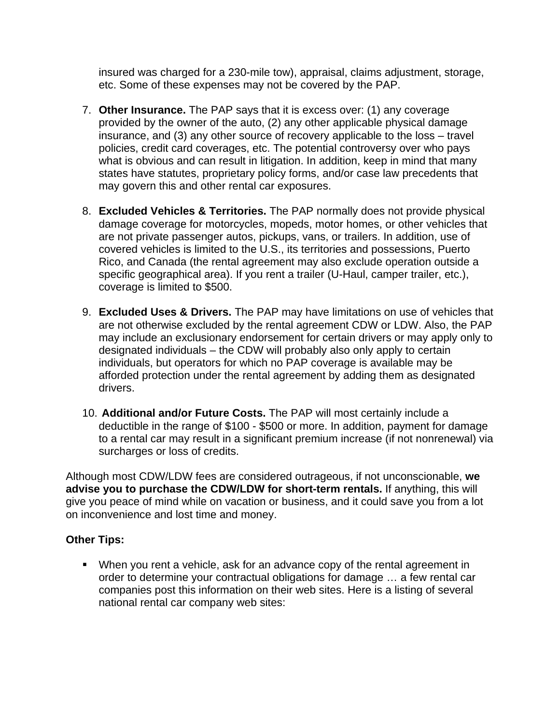insured was charged for a 230-mile tow), appraisal, claims adjustment, storage, etc. Some of these expenses may not be covered by the PAP.

- 7. **Other Insurance.** The PAP says that it is excess over: (1) any coverage provided by the owner of the auto, (2) any other applicable physical damage insurance, and (3) any other source of recovery applicable to the loss – travel policies, credit card coverages, etc. The potential controversy over who pays what is obvious and can result in litigation. In addition, keep in mind that many states have statutes, proprietary policy forms, and/or case law precedents that may govern this and other rental car exposures.
- 8. **Excluded Vehicles & Territories.** The PAP normally does not provide physical damage coverage for motorcycles, mopeds, motor homes, or other vehicles that are not private passenger autos, pickups, vans, or trailers. In addition, use of covered vehicles is limited to the U.S., its territories and possessions, Puerto Rico, and Canada (the rental agreement may also exclude operation outside a specific geographical area). If you rent a trailer (U-Haul, camper trailer, etc.), coverage is limited to \$500.
- 9. **Excluded Uses & Drivers.** The PAP may have limitations on use of vehicles that are not otherwise excluded by the rental agreement CDW or LDW. Also, the PAP may include an exclusionary endorsement for certain drivers or may apply only to designated individuals – the CDW will probably also only apply to certain individuals, but operators for which no PAP coverage is available may be afforded protection under the rental agreement by adding them as designated drivers.
- 10. **Additional and/or Future Costs.** The PAP will most certainly include a deductible in the range of \$100 - \$500 or more. In addition, payment for damage to a rental car may result in a significant premium increase (if not nonrenewal) via surcharges or loss of credits.

Although most CDW/LDW fees are considered outrageous, if not unconscionable, **we advise you to purchase the CDW/LDW for short-term rentals.** If anything, this will give you peace of mind while on vacation or business, and it could save you from a lot on inconvenience and lost time and money.

## **Other Tips:**

• When you rent a vehicle, ask for an advance copy of the rental agreement in order to determine your contractual obligations for damage … a few rental car companies post this information on their web sites. Here is a listing of several national rental car company web sites: